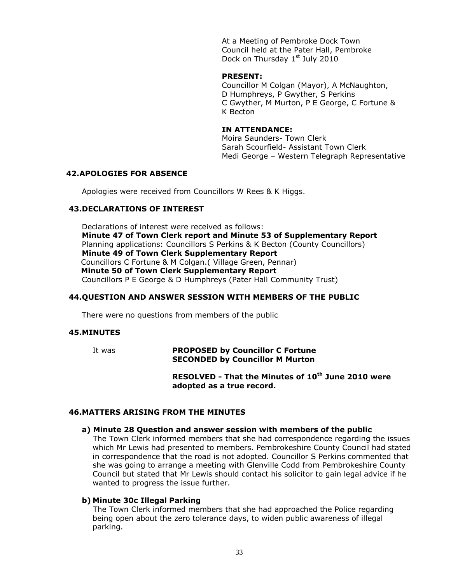At a Meeting of Pembroke Dock Town Council held at the Pater Hall, Pembroke Dock on Thursday 1st July 2010

#### **PRESENT:**

Councillor M Colgan (Mayor), A McNaughton, D Humphreys, P Gwyther, S Perkins C Gwyther, M Murton, P E George, C Fortune & K Becton

## **IN ATTENDANCE:**

Moira Saunders- Town Clerk Sarah Scourfield- Assistant Town Clerk Medi George – Western Telegraph Representative

#### **42.APOLOGIES FOR ABSENCE**

Apologies were received from Councillors W Rees & K Higgs.

#### **43.DECLARATIONS OF INTEREST**

Declarations of interest were received as follows: **Minute 47 of Town Clerk report and Minute 53 of Supplementary Report** Planning applications: Councillors S Perkins & K Becton (County Councillors) **Minute 49 of Town Clerk Supplementary Report** Councillors C Fortune & M Colgan.( Village Green, Pennar)  **Minute 50 of Town Clerk Supplementary Report** Councillors P E George & D Humphreys (Pater Hall Community Trust)

#### **44.QUESTION AND ANSWER SESSION WITH MEMBERS OF THE PUBLIC**

There were no questions from members of the public

#### **45.MINUTES**

It was **PROPOSED by Councillor C Fortune SECONDED by Councillor M Murton**

## **RESOLVED - That the Minutes of 10th June 2010 were adopted as a true record.**

#### **46.MATTERS ARISING FROM THE MINUTES**

#### **a) Minute 28 Question and answer session with members of the public**

The Town Clerk informed members that she had correspondence regarding the issues which Mr Lewis had presented to members. Pembrokeshire County Council had stated in correspondence that the road is not adopted. Councillor S Perkins commented that she was going to arrange a meeting with Glenville Codd from Pembrokeshire County Council but stated that Mr Lewis should contact his solicitor to gain legal advice if he wanted to progress the issue further.

#### **b) Minute 30c Illegal Parking**

The Town Clerk informed members that she had approached the Police regarding being open about the zero tolerance days, to widen public awareness of illegal parking.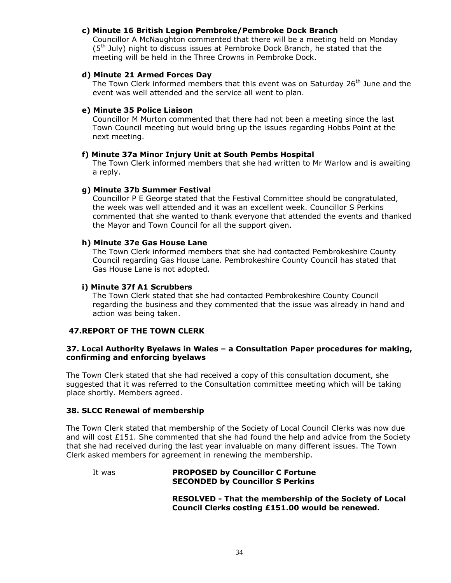## **c) Minute 16 British Legion Pembroke/Pembroke Dock Branch**

Councillor A McNaughton commented that there will be a meeting held on Monday (5<sup>th</sup> July) night to discuss issues at Pembroke Dock Branch, he stated that the meeting will be held in the Three Crowns in Pembroke Dock.

### **d) Minute 21 Armed Forces Day**

The Town Clerk informed members that this event was on Saturday 26<sup>th</sup> June and the event was well attended and the service all went to plan.

## **e) Minute 35 Police Liaison**

Councillor M Murton commented that there had not been a meeting since the last Town Council meeting but would bring up the issues regarding Hobbs Point at the next meeting.

#### **f) Minute 37a Minor Injury Unit at South Pembs Hospital**

The Town Clerk informed members that she had written to Mr Warlow and is awaiting a reply.

## **g) Minute 37b Summer Festival**

Councillor P E George stated that the Festival Committee should be congratulated, the week was well attended and it was an excellent week. Councillor S Perkins commented that she wanted to thank everyone that attended the events and thanked the Mayor and Town Council for all the support given.

#### **h) Minute 37e Gas House Lane**

The Town Clerk informed members that she had contacted Pembrokeshire County Council regarding Gas House Lane. Pembrokeshire County Council has stated that Gas House Lane is not adopted.

#### **i) Minute 37f A1 Scrubbers**

The Town Clerk stated that she had contacted Pembrokeshire County Council regarding the business and they commented that the issue was already in hand and action was being taken.

#### **47.REPORT OF THE TOWN CLERK**

#### **37. Local Authority Byelaws in Wales – a Consultation Paper procedures for making, confirming and enforcing byelaws**

The Town Clerk stated that she had received a copy of this consultation document, she suggested that it was referred to the Consultation committee meeting which will be taking place shortly. Members agreed.

#### **38. SLCC Renewal of membership**

The Town Clerk stated that membership of the Society of Local Council Clerks was now due and will cost  $£151$ . She commented that she had found the help and advice from the Society that she had received during the last year invaluable on many different issues. The Town Clerk asked members for agreement in renewing the membership.

#### It was **PROPOSED by Councillor C Fortune SECONDED by Councillor S Perkins**

**RESOLVED - That the membership of the Society of Local Council Clerks costing £151.00 would be renewed.**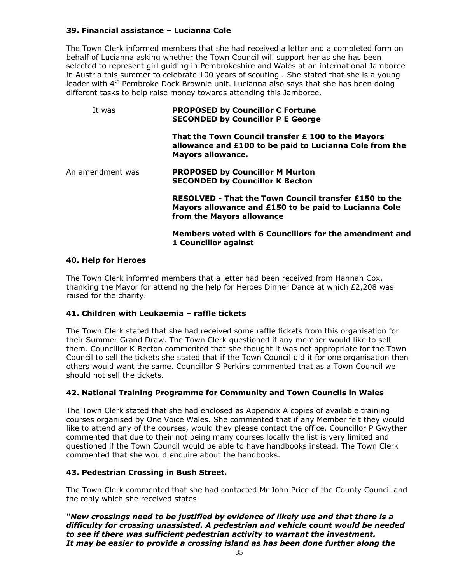## **39. Financial assistance – Lucianna Cole**

The Town Clerk informed members that she had received a letter and a completed form on behalf of Lucianna asking whether the Town Council will support her as she has been selected to represent girl guiding in Pembrokeshire and Wales at an international Jamboree in Austria this summer to celebrate 100 years of scouting . She stated that she is a young leader with 4<sup>th</sup> Pembroke Dock Brownie unit. Lucianna also says that she has been doing different tasks to help raise money towards attending this Jamboree.

## It was **PROPOSED by Councillor C Fortune SECONDED by Councillor P E George That the Town Council transfer £ 100 to the Mayors allowance and £100 to be paid to Lucianna Cole from the Mayors allowance.** An amendment was **PROPOSED by Councillor M Murton SECONDED by Councillor K Becton RESOLVED - That the Town Council transfer £150 to the Mayors allowance and £150 to be paid to Lucianna Cole from the Mayors allowance Members voted with 6 Councillors for the amendment and 1 Councillor against**

## **40. Help for Heroes**

The Town Clerk informed members that a letter had been received from Hannah Cox, thanking the Mayor for attending the help for Heroes Dinner Dance at which £2,208 was raised for the charity.

## **41. Children with Leukaemia – raffle tickets**

The Town Clerk stated that she had received some raffle tickets from this organisation for their Summer Grand Draw. The Town Clerk questioned if any member would like to sell them. Councillor K Becton commented that she thought it was not appropriate for the Town Council to sell the tickets she stated that if the Town Council did it for one organisation then others would want the same. Councillor S Perkins commented that as a Town Council we should not sell the tickets.

#### **42. National Training Programme for Community and Town Councils in Wales**

The Town Clerk stated that she had enclosed as Appendix A copies of available training courses organised by One Voice Wales. She commented that if any Member felt they would like to attend any of the courses, would they please contact the office. Councillor P Gwyther commented that due to their not being many courses locally the list is very limited and questioned if the Town Council would be able to have handbooks instead. The Town Clerk commented that she would enquire about the handbooks.

#### **43. Pedestrian Crossing in Bush Street.**

The Town Clerk commented that she had contacted Mr John Price of the County Council and the reply which she received states

*"New crossings need to be justified by evidence of likely use and that there is a difficulty for crossing unassisted. A pedestrian and vehicle count would be needed to see if there was sufficient pedestrian activity to warrant the investment. It may be easier to provide a crossing island as has been done further along the*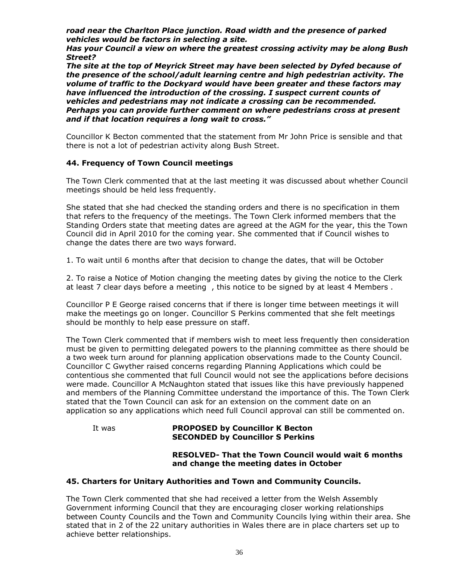*road near the Charlton Place junction. Road width and the presence of parked vehicles would be factors in selecting a site.* 

*Has your Council a view on where the greatest crossing activity may be along Bush Street?* 

*The site at the top of Meyrick Street may have been selected by Dyfed because of the presence of the school/adult learning centre and high pedestrian activity. The volume of traffic to the Dockyard would have been greater and these factors may have influenced the introduction of the crossing. I suspect current counts of vehicles and pedestrians may not indicate a crossing can be recommended. Perhaps you can provide further comment on where pedestrians cross at present and if that location requires a long wait to cross."*

Councillor K Becton commented that the statement from Mr John Price is sensible and that there is not a lot of pedestrian activity along Bush Street.

## **44. Frequency of Town Council meetings**

The Town Clerk commented that at the last meeting it was discussed about whether Council meetings should be held less frequently.

She stated that she had checked the standing orders and there is no specification in them that refers to the frequency of the meetings. The Town Clerk informed members that the Standing Orders state that meeting dates are agreed at the AGM for the year, this the Town Council did in April 2010 for the coming year. She commented that if Council wishes to change the dates there are two ways forward.

1. To wait until 6 months after that decision to change the dates, that will be October

2. To raise a Notice of Motion changing the meeting dates by giving the notice to the Clerk at least 7 clear days before a meeting , this notice to be signed by at least 4 Members .

Councillor P E George raised concerns that if there is longer time between meetings it will make the meetings go on longer. Councillor S Perkins commented that she felt meetings should be monthly to help ease pressure on staff.

The Town Clerk commented that if members wish to meet less frequently then consideration must be given to permitting delegated powers to the planning committee as there should be a two week turn around for planning application observations made to the County Council. Councillor C Gwyther raised concerns regarding Planning Applications which could be contentious she commented that full Council would not see the applications before decisions were made. Councillor A McNaughton stated that issues like this have previously happened and members of the Planning Committee understand the importance of this. The Town Clerk stated that the Town Council can ask for an extension on the comment date on an application so any applications which need full Council approval can still be commented on.

It was **PROPOSED by Councillor K Becton SECONDED by Councillor S Perkins**

#### **RESOLVED- That the Town Council would wait 6 months and change the meeting dates in October**

#### **45. Charters for Unitary Authorities and Town and Community Councils.**

The Town Clerk commented that she had received a letter from the Welsh Assembly Government informing Council that they are encouraging closer working relationships between County Councils and the Town and Community Councils lying within their area. She stated that in 2 of the 22 unitary authorities in Wales there are in place charters set up to achieve better relationships.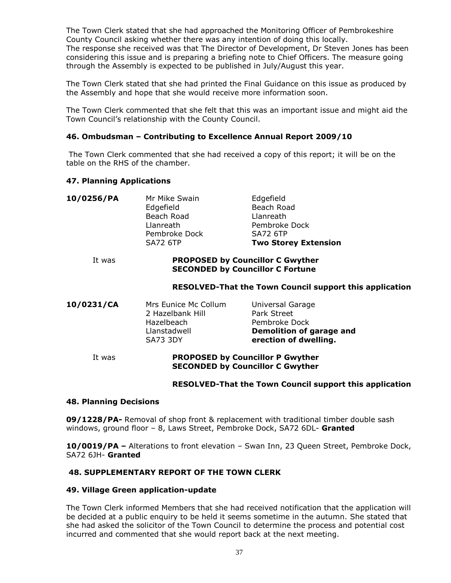The Town Clerk stated that she had approached the Monitoring Officer of Pembrokeshire County Council asking whether there was any intention of doing this locally. The response she received was that The Director of Development, Dr Steven Jones has been considering this issue and is preparing a briefing note to Chief Officers. The measure going through the Assembly is expected to be published in July/August this year.

The Town Clerk stated that she had printed the Final Guidance on this issue as produced by the Assembly and hope that she would receive more information soon.

The Town Clerk commented that she felt that this was an important issue and might aid the Town Council's relationship with the County Council.

## **46. Ombudsman – Contributing to Excellence Annual Report 2009/10**

The Town Clerk commented that she had received a copy of this report; it will be on the table on the RHS of the chamber.

#### **47. Planning Applications**

| 10/0256/PA | Mr Mike Swain<br>Edgefield<br>Beach Road | Edgefield<br>Beach Road<br>Llanreath |
|------------|------------------------------------------|--------------------------------------|
|            | Llanreath<br>Pembroke Dock               | Pembroke Dock<br><b>SA72 6TP</b>     |
|            | <b>SA72 6TP</b>                          | <b>Two Storey Extension</b>          |

#### It was **PROPOSED by Councillor C Gwyther SECONDED by Councillor C Fortune**

#### **RESOLVED-That the Town Council support this application**

| 10/0231/CA | Mrs Eunice Mc Collum | Universal Garage         |
|------------|----------------------|--------------------------|
|            | 2 Hazelbank Hill     | Park Street              |
|            | Hazelbeach           | Pembroke Dock            |
|            | Llanstadwell         | Demolition of garage and |
|            | <b>SA73 3DY</b>      | erection of dwelling.    |
|            |                      |                          |

#### It was **PROPOSED by Councillor P Gwyther SECONDED by Councillor C Gwyther**

#### **RESOLVED-That the Town Council support this application**

#### **48. Planning Decisions**

**09/1228/PA-** Removal of shop front & replacement with traditional timber double sash windows, ground floor – 8, Laws Street, Pembroke Dock, SA72 6DL- **Granted**

**10/0019/PA –** Alterations to front elevation – Swan Inn, 23 Queen Street, Pembroke Dock, SA72 6JH- **Granted**

#### **48. SUPPLEMENTARY REPORT OF THE TOWN CLERK**

#### **49. Village Green application-update**

The Town Clerk informed Members that she had received notification that the application will be decided at a public enquiry to be held it seems sometime in the autumn. She stated that she had asked the solicitor of the Town Council to determine the process and potential cost incurred and commented that she would report back at the next meeting.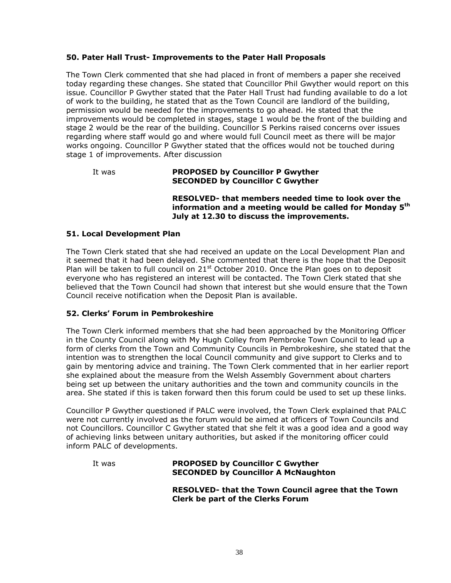## **50. Pater Hall Trust- Improvements to the Pater Hall Proposals**

The Town Clerk commented that she had placed in front of members a paper she received today regarding these changes. She stated that Councillor Phil Gwyther would report on this issue. Councillor P Gwyther stated that the Pater Hall Trust had funding available to do a lot of work to the building, he stated that as the Town Council are landlord of the building, permission would be needed for the improvements to go ahead. He stated that the improvements would be completed in stages, stage 1 would be the front of the building and stage 2 would be the rear of the building. Councillor S Perkins raised concerns over issues regarding where staff would go and where would full Council meet as there will be major works ongoing. Councillor P Gwyther stated that the offices would not be touched during stage 1 of improvements. After discussion

#### It was **PROPOSED by Councillor P Gwyther SECONDED by Councillor C Gwyther**

**RESOLVED- that members needed time to look over the information and a meeting would be called for Monday 5th July at 12.30 to discuss the improvements.**

#### **51. Local Development Plan**

The Town Clerk stated that she had received an update on the Local Development Plan and it seemed that it had been delayed. She commented that there is the hope that the Deposit Plan will be taken to full council on  $21<sup>st</sup>$  October 2010. Once the Plan goes on to deposit everyone who has registered an interest will be contacted. The Town Clerk stated that she believed that the Town Council had shown that interest but she would ensure that the Town Council receive notification when the Deposit Plan is available.

#### **52. Clerks' Forum in Pembrokeshire**

The Town Clerk informed members that she had been approached by the Monitoring Officer in the County Council along with My Hugh Colley from Pembroke Town Council to lead up a form of clerks from the Town and Community Councils in Pembrokeshire, she stated that the intention was to strengthen the local Council community and give support to Clerks and to gain by mentoring advice and training. The Town Clerk commented that in her earlier report she explained about the measure from the Welsh Assembly Government about charters being set up between the unitary authorities and the town and community councils in the area. She stated if this is taken forward then this forum could be used to set up these links.

Councillor P Gwyther questioned if PALC were involved, the Town Clerk explained that PALC were not currently involved as the forum would be aimed at officers of Town Councils and not Councillors. Councillor C Gwyther stated that she felt it was a good idea and a good way of achieving links between unitary authorities, but asked if the monitoring officer could inform PALC of developments.

| It was | <b>PROPOSED by Councillor C Gwyther</b><br><b>SECONDED by Councillor A McNaughton</b>           |  |
|--------|-------------------------------------------------------------------------------------------------|--|
|        | RESOLVED- that the Town Council agree that the Town<br><b>Clerk be part of the Clerks Forum</b> |  |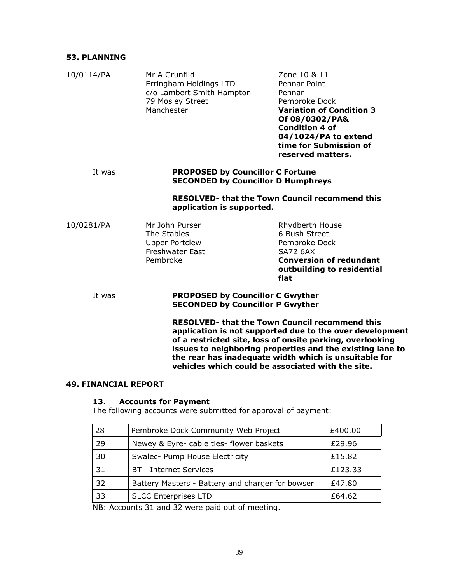## **53. PLANNING**

| 10/0114/PA | Mr A Grunfild<br>Erringham Holdings LTD<br>c/o Lambert Smith Hampton<br>79 Mosley Street<br>Manchester | Zone 10 & 11<br>Pennar Point<br>Pennar<br>Pembroke Dock<br><b>Variation of Condition 3</b><br>Of 08/0302/PA&<br><b>Condition 4 of</b><br>04/1024/PA to extend<br>time for Submission of<br>reserved matters.                                                                                                                                              |  |  |
|------------|--------------------------------------------------------------------------------------------------------|-----------------------------------------------------------------------------------------------------------------------------------------------------------------------------------------------------------------------------------------------------------------------------------------------------------------------------------------------------------|--|--|
| It was     |                                                                                                        | <b>PROPOSED by Councillor C Fortune</b><br><b>SECONDED by Councillor D Humphreys</b>                                                                                                                                                                                                                                                                      |  |  |
|            | application is supported.                                                                              | <b>RESOLVED- that the Town Council recommend this</b>                                                                                                                                                                                                                                                                                                     |  |  |
| 10/0281/PA | Mr John Purser<br>The Stables<br><b>Upper Portclew</b><br><b>Freshwater East</b><br>Pembroke           | Rhydberth House<br>6 Bush Street<br>Pembroke Dock<br><b>SA72 6AX</b><br><b>Conversion of redundant</b><br>outbuilding to residential<br>flat                                                                                                                                                                                                              |  |  |
| It was     |                                                                                                        | <b>PROPOSED by Councillor C Gwyther</b><br><b>SECONDED by Councillor P Gwyther</b>                                                                                                                                                                                                                                                                        |  |  |
|            |                                                                                                        | <b>RESOLVED- that the Town Council recommend this</b><br>application is not supported due to the over development<br>of a restricted site, loss of onsite parking, overlooking<br>issues to neighboring properties and the existing lane to<br>the rear has inadequate width which is unsuitable for<br>vehicles which could be associated with the site. |  |  |

#### **49. FINANCIAL REPORT**

#### **13. Accounts for Payment**

The following accounts were submitted for approval of payment:

| 28 | Pembroke Dock Community Web Project              | £400.00 |
|----|--------------------------------------------------|---------|
| 29 | Newey & Eyre- cable ties- flower baskets         | £29.96  |
| 30 | Swalec- Pump House Electricity                   | £15.82  |
| 31 | <b>BT</b> - Internet Services                    | £123.33 |
| 32 | Battery Masters - Battery and charger for bowser | £47.80  |
| 33 | <b>SLCC Enterprises LTD</b>                      | £64.62  |

NB: Accounts 31 and 32 were paid out of meeting.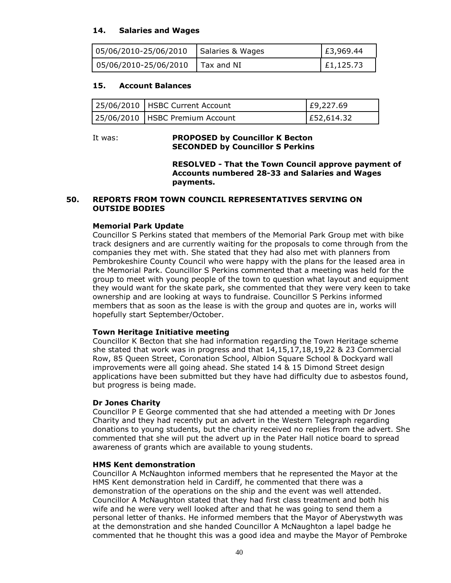## **14. Salaries and Wages**

| 05/06/2010-25/06/2010   Salaries & Wages | £3,969.44 |
|------------------------------------------|-----------|
| $\vert$ 05/06/2010-25/06/2010 Tax and NI | E1,125.73 |

## **15. Account Balances**

| 25/06/2010   HSBC Current Account | E9,227.69  |
|-----------------------------------|------------|
| 25/06/2010   HSBC Premium Account | E52,614.32 |

#### It was: **PROPOSED by Councillor K Becton SECONDED by Councillor S Perkins**

**RESOLVED - That the Town Council approve payment of Accounts numbered 28-33 and Salaries and Wages payments.**

#### **50. REPORTS FROM TOWN COUNCIL REPRESENTATIVES SERVING ON OUTSIDE BODIES**

#### **Memorial Park Update**

Councillor S Perkins stated that members of the Memorial Park Group met with bike track designers and are currently waiting for the proposals to come through from the companies they met with. She stated that they had also met with planners from Pembrokeshire County Council who were happy with the plans for the leased area in the Memorial Park. Councillor S Perkins commented that a meeting was held for the group to meet with young people of the town to question what layout and equipment they would want for the skate park, she commented that they were very keen to take ownership and are looking at ways to fundraise. Councillor S Perkins informed members that as soon as the lease is with the group and quotes are in, works will hopefully start September/October.

#### **Town Heritage Initiative meeting**

Councillor K Becton that she had information regarding the Town Heritage scheme she stated that work was in progress and that 14,15,17,18,19,22 & 23 Commercial Row, 85 Queen Street, Coronation School, Albion Square School & Dockyard wall improvements were all going ahead. She stated 14 & 15 Dimond Street design applications have been submitted but they have had difficulty due to asbestos found, but progress is being made.

#### **Dr Jones Charity**

Councillor P E George commented that she had attended a meeting with Dr Jones Charity and they had recently put an advert in the Western Telegraph regarding donations to young students, but the charity received no replies from the advert. She commented that she will put the advert up in the Pater Hall notice board to spread awareness of grants which are available to young students.

#### **HMS Kent demonstration**

Councillor A McNaughton informed members that he represented the Mayor at the HMS Kent demonstration held in Cardiff, he commented that there was a demonstration of the operations on the ship and the event was well attended. Councillor A McNaughton stated that they had first class treatment and both his wife and he were very well looked after and that he was going to send them a personal letter of thanks. He informed members that the Mayor of Aberystwyth was at the demonstration and she handed Councillor A McNaughton a lapel badge he commented that he thought this was a good idea and maybe the Mayor of Pembroke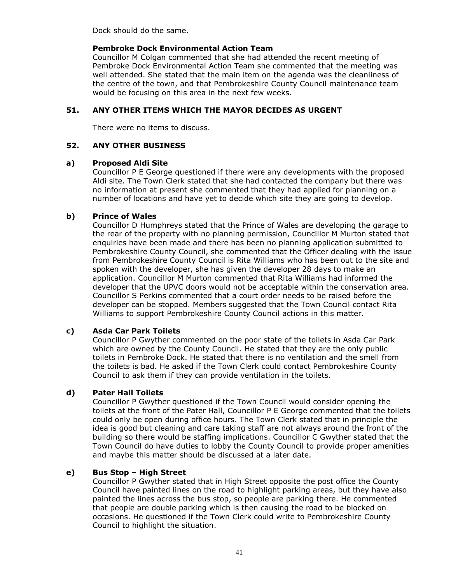Dock should do the same.

## **Pembroke Dock Environmental Action Team**

Councillor M Colgan commented that she had attended the recent meeting of Pembroke Dock Environmental Action Team she commented that the meeting was well attended. She stated that the main item on the agenda was the cleanliness of the centre of the town, and that Pembrokeshire County Council maintenance team would be focusing on this area in the next few weeks.

## **51. ANY OTHER ITEMS WHICH THE MAYOR DECIDES AS URGENT**

There were no items to discuss.

## **52. ANY OTHER BUSINESS**

## **a) Proposed Aldi Site**

Councillor P E George questioned if there were any developments with the proposed Aldi site. The Town Clerk stated that she had contacted the company but there was no information at present she commented that they had applied for planning on a number of locations and have yet to decide which site they are going to develop.

## **b) Prince of Wales**

Councillor D Humphreys stated that the Prince of Wales are developing the garage to the rear of the property with no planning permission, Councillor M Murton stated that enquiries have been made and there has been no planning application submitted to Pembrokeshire County Council, she commented that the Officer dealing with the issue from Pembrokeshire County Council is Rita Williams who has been out to the site and spoken with the developer, she has given the developer 28 days to make an application. Councillor M Murton commented that Rita Williams had informed the developer that the UPVC doors would not be acceptable within the conservation area. Councillor S Perkins commented that a court order needs to be raised before the developer can be stopped. Members suggested that the Town Council contact Rita Williams to support Pembrokeshire County Council actions in this matter.

## **c) Asda Car Park Toilets**

Councillor P Gwyther commented on the poor state of the toilets in Asda Car Park which are owned by the County Council. He stated that they are the only public toilets in Pembroke Dock. He stated that there is no ventilation and the smell from the toilets is bad. He asked if the Town Clerk could contact Pembrokeshire County Council to ask them if they can provide ventilation in the toilets.

## **d) Pater Hall Toilets**

Councillor P Gwyther questioned if the Town Council would consider opening the toilets at the front of the Pater Hall, Councillor P E George commented that the toilets could only be open during office hours. The Town Clerk stated that in principle the idea is good but cleaning and care taking staff are not always around the front of the building so there would be staffing implications. Councillor C Gwyther stated that the Town Council do have duties to lobby the County Council to provide proper amenities and maybe this matter should be discussed at a later date.

## **e) Bus Stop – High Street**

Councillor P Gwyther stated that in High Street opposite the post office the County Council have painted lines on the road to highlight parking areas, but they have also painted the lines across the bus stop, so people are parking there. He commented that people are double parking which is then causing the road to be blocked on occasions. He questioned if the Town Clerk could write to Pembrokeshire County Council to highlight the situation.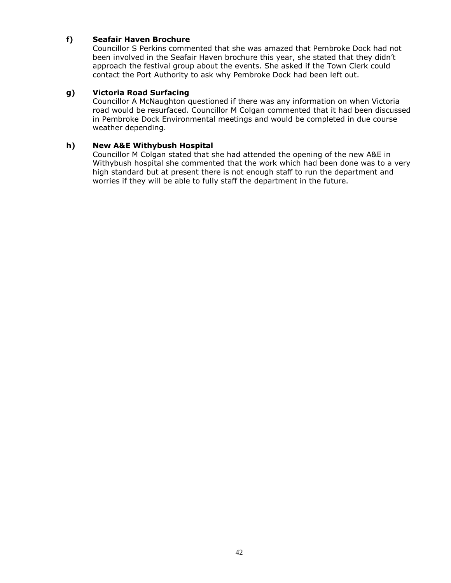## **f) Seafair Haven Brochure**

Councillor S Perkins commented that she was amazed that Pembroke Dock had not been involved in the Seafair Haven brochure this year, she stated that they didn't approach the festival group about the events. She asked if the Town Clerk could contact the Port Authority to ask why Pembroke Dock had been left out.

## **g) Victoria Road Surfacing**

Councillor A McNaughton questioned if there was any information on when Victoria road would be resurfaced. Councillor M Colgan commented that it had been discussed in Pembroke Dock Environmental meetings and would be completed in due course weather depending.

## **h) New A&E Withybush Hospital**

Councillor M Colgan stated that she had attended the opening of the new A&E in Withybush hospital she commented that the work which had been done was to a very high standard but at present there is not enough staff to run the department and worries if they will be able to fully staff the department in the future.